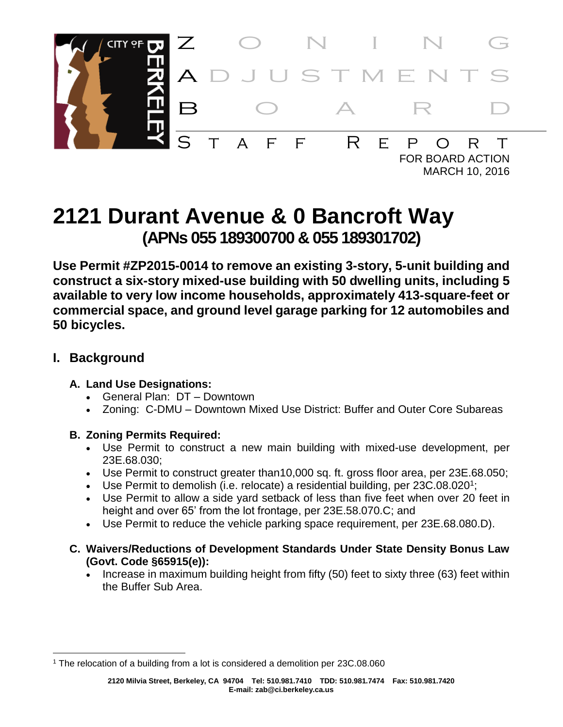

MARCH 10, 2016

# **2121 Durant Avenue & 0 Bancroft Way (APNs 055 189300700 & 055 189301702)**

**Use Permit #ZP2015-0014 to remove an existing 3-story, 5-unit building and construct a six-story mixed-use building with 50 dwelling units, including 5 available to very low income households, approximately 413-square-feet or commercial space, and ground level garage parking for 12 automobiles and 50 bicycles.**

## **I. Background**

#### **A. Land Use Designations:**

- General Plan: DT Downtown
- Zoning: C-DMU Downtown Mixed Use District: Buffer and Outer Core Subareas

## **B. Zoning Permits Required:**

- Use Permit to construct a new main building with mixed-use development, per 23E.68.030;
- Use Permit to construct greater than10,000 sq. ft. gross floor area, per 23E.68.050;
- Use Permit to demolish (i.e. relocate) a residential building, per  $23C.08.020$ <sup>1</sup>;
- Use Permit to allow a side yard setback of less than five feet when over 20 feet in height and over 65' from the lot frontage, per 23E.58.070.C; and
- Use Permit to reduce the vehicle parking space requirement, per 23E.68.080.D).
- **C. Waivers/Reductions of Development Standards Under State Density Bonus Law (Govt. Code §65915(e)):**
	- Increase in maximum building height from fifty (50) feet to sixty three (63) feet within the Buffer Sub Area.

l <sup>1</sup> The relocation of a building from a lot is considered a demolition per 23C.08.060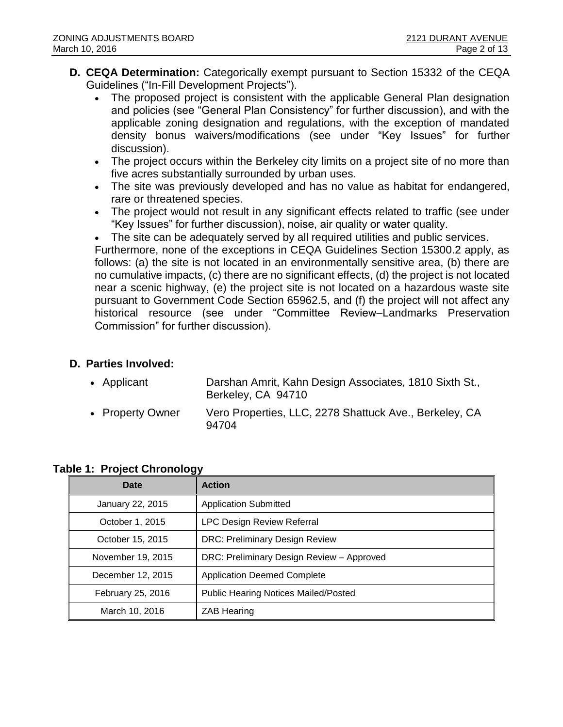- **D. CEQA Determination:** Categorically exempt pursuant to Section 15332 of the CEQA Guidelines ("In-Fill Development Projects").
	- The proposed project is consistent with the applicable General Plan designation and policies (see "General Plan Consistency" for further discussion), and with the applicable zoning designation and regulations, with the exception of mandated density bonus waivers/modifications (see under "Key Issues" for further discussion).
	- The project occurs within the Berkeley city limits on a project site of no more than five acres substantially surrounded by urban uses.
	- The site was previously developed and has no value as habitat for endangered, rare or threatened species.
	- The project would not result in any significant effects related to traffic (see under "Key Issues" for further discussion), noise, air quality or water quality.

The site can be adequately served by all required utilities and public services.

Furthermore, none of the exceptions in CEQA Guidelines Section 15300.2 apply, as follows: (a) the site is not located in an environmentally sensitive area, (b) there are no cumulative impacts, (c) there are no significant effects, (d) the project is not located near a scenic highway, (e) the project site is not located on a hazardous waste site pursuant to Government Code Section 65962.5, and (f) the project will not affect any historical resource (see under "Committee Review–Landmarks Preservation Commission" for further discussion).

#### **D. Parties Involved:**

| • Applicant      | Darshan Amrit, Kahn Design Associates, 1810 Sixth St.,<br>Berkeley, CA 94710 |
|------------------|------------------------------------------------------------------------------|
| • Property Owner | Vero Properties, LLC, 2278 Shattuck Ave., Berkeley, CA<br>94704              |

| --<br>Date        | <b>Action</b>                               |
|-------------------|---------------------------------------------|
| January 22, 2015  | <b>Application Submitted</b>                |
| October 1, 2015   | <b>LPC Design Review Referral</b>           |
| October 15, 2015  | <b>DRC: Preliminary Design Review</b>       |
| November 19, 2015 | DRC: Preliminary Design Review - Approved   |
| December 12, 2015 | <b>Application Deemed Complete</b>          |
| February 25, 2016 | <b>Public Hearing Notices Mailed/Posted</b> |
| March 10, 2016    | <b>ZAB Hearing</b>                          |

#### **Table 1: Project Chronology**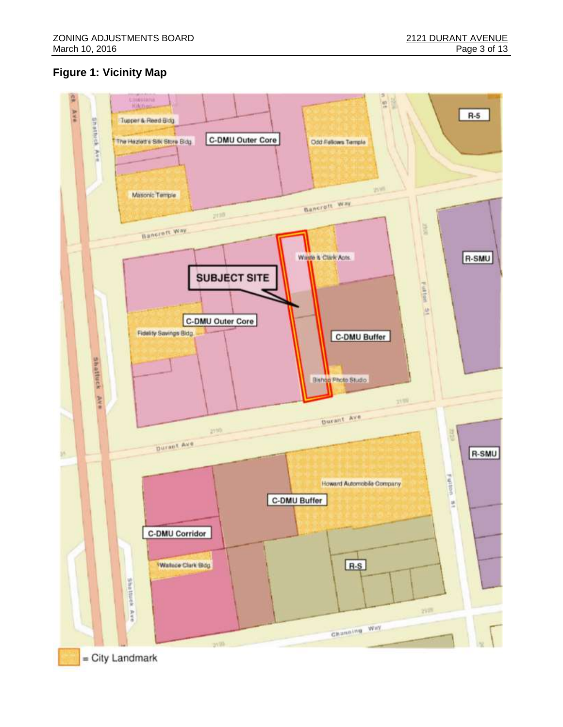# **Figure 1: Vicinity Map**

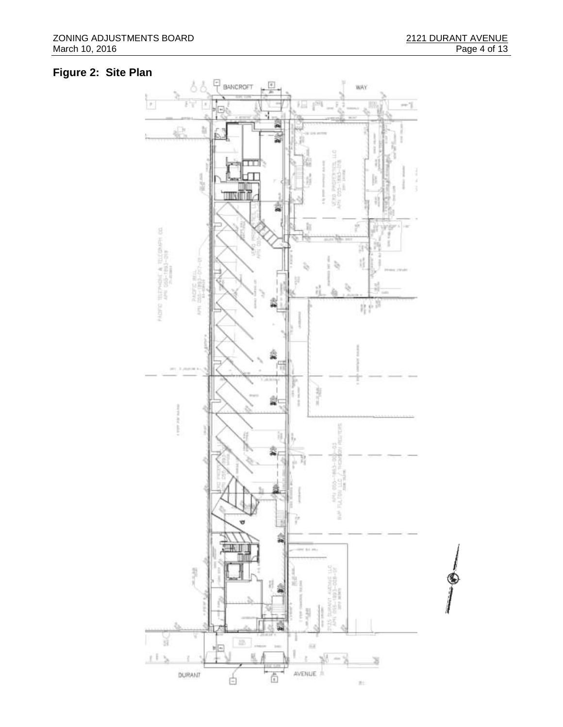# **Figure 2: Site Plan**

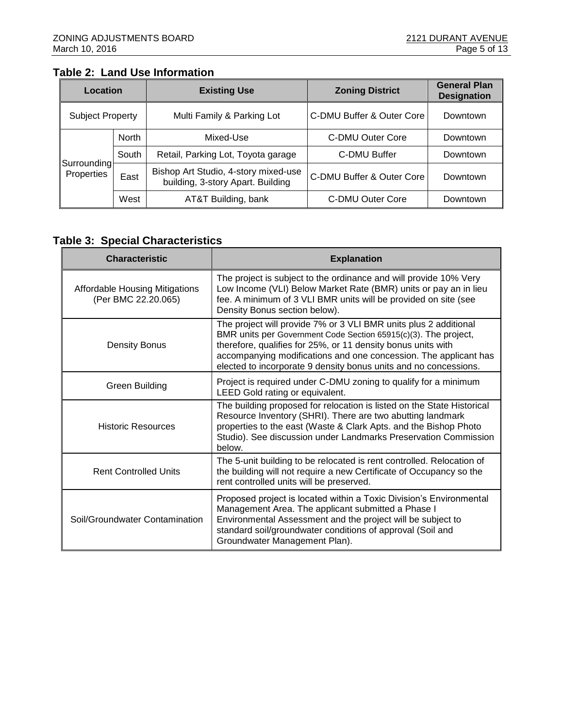#### **Table 2: Land Use Information**

| Location                |              | <b>Existing Use</b>                                                       | <b>Zoning District</b>    | <b>General Plan</b><br><b>Designation</b> |
|-------------------------|--------------|---------------------------------------------------------------------------|---------------------------|-------------------------------------------|
| <b>Subject Property</b> |              | Multi Family & Parking Lot                                                | C-DMU Buffer & Outer Core | Downtown                                  |
|                         | <b>North</b> | Mixed-Use                                                                 | C-DMU Outer Core          | Downtown                                  |
| Surrounding             | South        | Retail, Parking Lot, Toyota garage                                        | C-DMU Buffer              | Downtown                                  |
| Properties              | East         | Bishop Art Studio, 4-story mixed-use<br>building, 3-story Apart. Building | C-DMU Buffer & Outer Core | Downtown                                  |
|                         | West         | AT&T Building, bank                                                       | C-DMU Outer Core          | Downtown                                  |

# **Table 3: Special Characteristics**

| <b>Characteristic</b>                                        | <b>Explanation</b>                                                                                                                                                                                                                                                                                                                          |  |  |  |
|--------------------------------------------------------------|---------------------------------------------------------------------------------------------------------------------------------------------------------------------------------------------------------------------------------------------------------------------------------------------------------------------------------------------|--|--|--|
| <b>Affordable Housing Mitigations</b><br>(Per BMC 22.20.065) | The project is subject to the ordinance and will provide 10% Very<br>Low Income (VLI) Below Market Rate (BMR) units or pay an in lieu<br>fee. A minimum of 3 VLI BMR units will be provided on site (see<br>Density Bonus section below).                                                                                                   |  |  |  |
| <b>Density Bonus</b>                                         | The project will provide 7% or 3 VLI BMR units plus 2 additional<br>BMR units per Government Code Section 65915(c)(3). The project,<br>therefore, qualifies for 25%, or 11 density bonus units with<br>accompanying modifications and one concession. The applicant has<br>elected to incorporate 9 density bonus units and no concessions. |  |  |  |
| Green Building                                               | Project is required under C-DMU zoning to qualify for a minimum<br>LEED Gold rating or equivalent.                                                                                                                                                                                                                                          |  |  |  |
| <b>Historic Resources</b>                                    | The building proposed for relocation is listed on the State Historical<br>Resource Inventory (SHRI). There are two abutting landmark<br>properties to the east (Waste & Clark Apts. and the Bishop Photo<br>Studio). See discussion under Landmarks Preservation Commission<br>below.                                                       |  |  |  |
| <b>Rent Controlled Units</b>                                 | The 5-unit building to be relocated is rent controlled. Relocation of<br>the building will not require a new Certificate of Occupancy so the<br>rent controlled units will be preserved.                                                                                                                                                    |  |  |  |
| Soil/Groundwater Contamination                               | Proposed project is located within a Toxic Division's Environmental<br>Management Area. The applicant submitted a Phase I<br>Environmental Assessment and the project will be subject to<br>standard soil/groundwater conditions of approval (Soil and<br>Groundwater Management Plan).                                                     |  |  |  |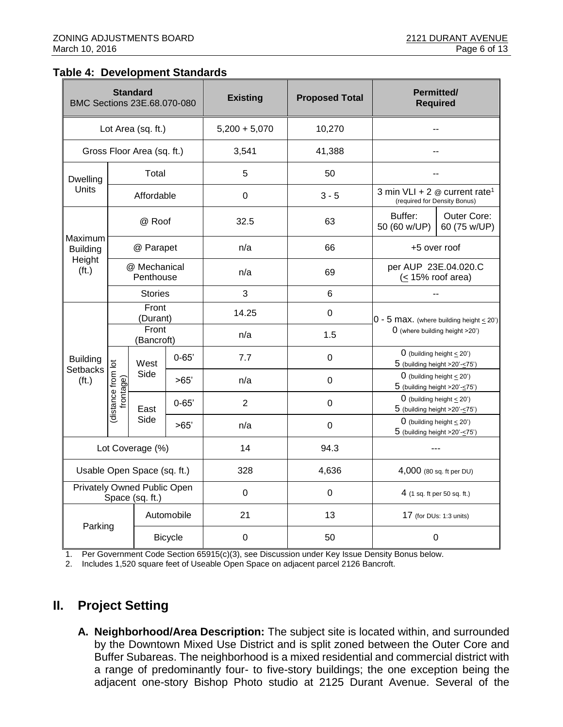#### **Table 4: Development Standards**

| <b>Standard</b><br>BMC Sections 23E.68.070-080 |                                                |                                           |           | <b>Existing</b> | <b>Proposed Total</b> | <b>Permitted/</b><br><b>Required</b>                                              |                                                                            |
|------------------------------------------------|------------------------------------------------|-------------------------------------------|-----------|-----------------|-----------------------|-----------------------------------------------------------------------------------|----------------------------------------------------------------------------|
| Lot Area (sq. ft.)                             |                                                |                                           |           | $5,200 + 5,070$ | 10,270                |                                                                                   |                                                                            |
| Gross Floor Area (sq. ft.)                     |                                                |                                           |           | 3,541           | 41,388                |                                                                                   |                                                                            |
| Dwelling                                       | Total                                          |                                           |           | 5               | 50                    |                                                                                   |                                                                            |
| Units                                          | Affordable                                     |                                           |           | $\mathbf 0$     | $3 - 5$               | 3 min VLI + 2 $\omega$ current rate <sup>1</sup><br>(required for Density Bonus)  |                                                                            |
|                                                | @ Roof                                         |                                           |           | 32.5            | 63                    | Buffer:<br>50 (60 w/UP)                                                           | Outer Core:<br>60 (75 w/UP)                                                |
| Maximum<br><b>Building</b>                     |                                                | @ Parapet                                 |           | n/a             | 66                    | +5 over roof                                                                      |                                                                            |
| Height<br>(f <sub>t</sub> )                    | @ Mechanical<br>Penthouse                      |                                           |           | n/a             | 69                    | per AUP 23E.04.020.C<br>$(< 15\%$ roof area)                                      |                                                                            |
|                                                |                                                | <b>Stories</b>                            |           | $\overline{3}$  | 6                     |                                                                                   |                                                                            |
|                                                | Front<br>(Durant)                              |                                           |           | 14.25           | $\mathbf 0$           | $0 - 5$ Max. (where building height $\leq$ 20')<br>O (where building height >20') |                                                                            |
|                                                | Front<br>(Bancroft)                            |                                           |           | n/a             | 1.5                   |                                                                                   |                                                                            |
| <b>Building</b>                                |                                                | West<br>Side<br>frontage)<br>East<br>Side | $0 - 65'$ | 7.7             | $\mathbf 0$           |                                                                                   | $0$ (building height $\leq$ 20')<br>$5$ (building height >20'- $\leq$ 75') |
| <b>Setbacks</b><br>(f <sub>t</sub> )           |                                                |                                           | >65'      | n/a             | $\mathbf 0$           | $5$ (building height >20'- $\leq$ 75')                                            | 0 (building height $\leq$ 20')                                             |
|                                                | distance from lot                              |                                           | $0 - 65'$ | $\overline{2}$  | $\mathbf 0$           | 0 (building height $\leq$ 20')<br>$5$ (building height >20'- $\leq$ 75')          |                                                                            |
|                                                |                                                |                                           | >65'      | n/a             | 0                     |                                                                                   | 0 (building height $\leq$ 20')<br>$5$ (building height >20'- $\leq$ 75')   |
|                                                | Lot Coverage (%)                               |                                           |           | 14              | 94.3                  |                                                                                   |                                                                            |
|                                                |                                                | Usable Open Space (sq. ft.)               |           | 328             | 4,636                 | 4,000 (80 sq. ft per DU)                                                          |                                                                            |
|                                                | Privately Owned Public Open<br>Space (sq. ft.) |                                           |           | $\Omega$        | $\mathbf 0$           | 4 (1 sq. ft per 50 sq. ft.)                                                       |                                                                            |
|                                                |                                                | Automobile                                |           | 21              | 13                    | 17 (for DUs: 1:3 units)                                                           |                                                                            |
| Parking                                        |                                                | <b>Bicycle</b>                            |           | 0               | 50                    | 0                                                                                 |                                                                            |

1. Per Government Code Section 65915(c)(3), see Discussion under Key Issue Density Bonus below.

2. Includes 1,520 square feet of Useable Open Space on adjacent parcel 2126 Bancroft.

# **II. Project Setting**

**A. Neighborhood/Area Description:** The subject site is located within, and surrounded by the Downtown Mixed Use District and is split zoned between the Outer Core and Buffer Subareas. The neighborhood is a mixed residential and commercial district with a range of predominantly four- to five-story buildings; the one exception being the adjacent one-story Bishop Photo studio at 2125 Durant Avenue. Several of the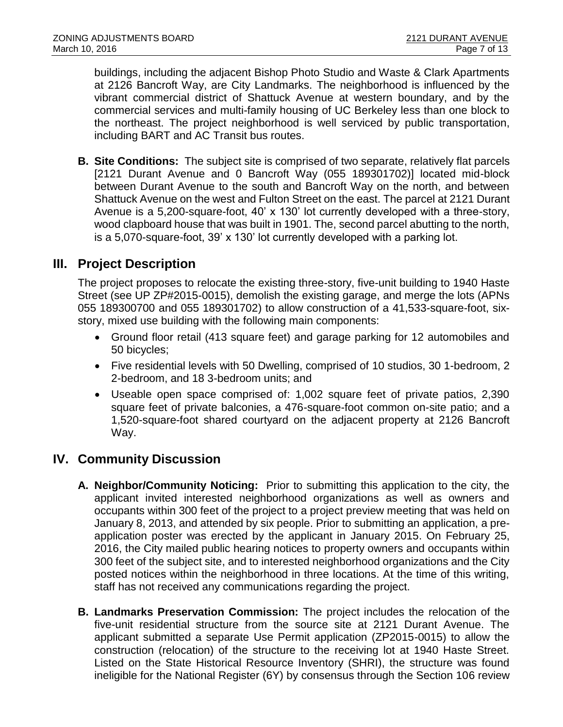buildings, including the adjacent Bishop Photo Studio and Waste & Clark Apartments at 2126 Bancroft Way, are City Landmarks. The neighborhood is influenced by the vibrant commercial district of Shattuck Avenue at western boundary, and by the commercial services and multi-family housing of UC Berkeley less than one block to the northeast. The project neighborhood is well serviced by public transportation, including BART and AC Transit bus routes.

**B. Site Conditions:** The subject site is comprised of two separate, relatively flat parcels [2121 Durant Avenue and 0 Bancroft Way (055 189301702)] located mid-block between Durant Avenue to the south and Bancroft Way on the north, and between Shattuck Avenue on the west and Fulton Street on the east. The parcel at 2121 Durant Avenue is a 5,200-square-foot, 40' x 130' lot currently developed with a three-story, wood clapboard house that was built in 1901. The, second parcel abutting to the north, is a 5,070-square-foot, 39' x 130' lot currently developed with a parking lot.

# **III. Project Description**

The project proposes to relocate the existing three-story, five-unit building to 1940 Haste Street (see UP ZP#2015-0015), demolish the existing garage, and merge the lots (APNs 055 189300700 and 055 189301702) to allow construction of a 41,533-square-foot, sixstory, mixed use building with the following main components:

- Ground floor retail (413 square feet) and garage parking for 12 automobiles and 50 bicycles;
- Five residential levels with 50 Dwelling, comprised of 10 studios, 30 1-bedroom, 2 2-bedroom, and 18 3-bedroom units; and
- Useable open space comprised of: 1,002 square feet of private patios, 2,390 square feet of private balconies, a 476-square-foot common on-site patio; and a 1,520-square-foot shared courtyard on the adjacent property at 2126 Bancroft Way.

# **IV. Community Discussion**

- **A. Neighbor/Community Noticing:** Prior to submitting this application to the city, the applicant invited interested neighborhood organizations as well as owners and occupants within 300 feet of the project to a project preview meeting that was held on January 8, 2013, and attended by six people. Prior to submitting an application, a preapplication poster was erected by the applicant in January 2015. On February 25, 2016, the City mailed public hearing notices to property owners and occupants within 300 feet of the subject site, and to interested neighborhood organizations and the City posted notices within the neighborhood in three locations. At the time of this writing, staff has not received any communications regarding the project.
- **B. Landmarks Preservation Commission:** The project includes the relocation of the five-unit residential structure from the source site at 2121 Durant Avenue. The applicant submitted a separate Use Permit application (ZP2015-0015) to allow the construction (relocation) of the structure to the receiving lot at 1940 Haste Street. Listed on the State Historical Resource Inventory (SHRI), the structure was found ineligible for the National Register (6Y) by consensus through the Section 106 review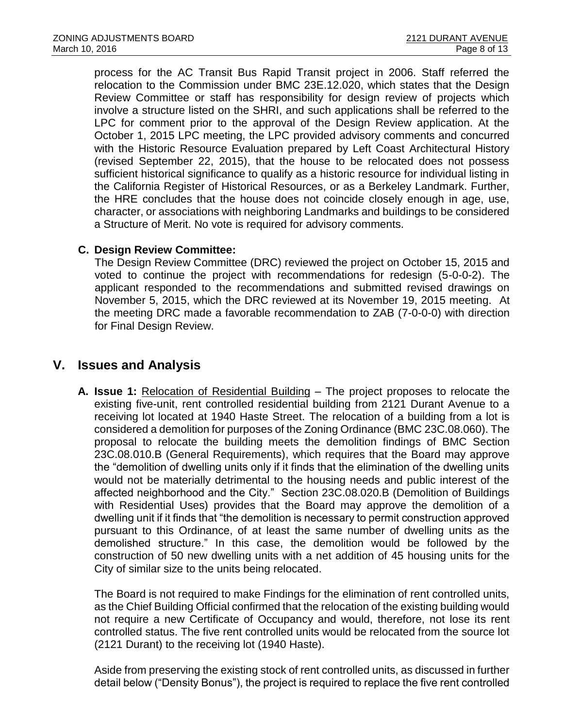process for the AC Transit Bus Rapid Transit project in 2006. Staff referred the relocation to the Commission under BMC 23E.12.020, which states that the Design Review Committee or staff has responsibility for design review of projects which involve a structure listed on the SHRI, and such applications shall be referred to the LPC for comment prior to the approval of the Design Review application. At the October 1, 2015 LPC meeting, the LPC provided advisory comments and concurred with the Historic Resource Evaluation prepared by Left Coast Architectural History (revised September 22, 2015), that the house to be relocated does not possess sufficient historical significance to qualify as a historic resource for individual listing in the California Register of Historical Resources, or as a Berkeley Landmark. Further, the HRE concludes that the house does not coincide closely enough in age, use, character, or associations with neighboring Landmarks and buildings to be considered a Structure of Merit. No vote is required for advisory comments.

#### **C. Design Review Committee:**

The Design Review Committee (DRC) reviewed the project on October 15, 2015 and voted to continue the project with recommendations for redesign (5-0-0-2). The applicant responded to the recommendations and submitted revised drawings on November 5, 2015, which the DRC reviewed at its November 19, 2015 meeting. At the meeting DRC made a favorable recommendation to ZAB (7-0-0-0) with direction for Final Design Review.

# **V. Issues and Analysis**

**A. Issue 1:** Relocation of Residential Building – The project proposes to relocate the existing five-unit, rent controlled residential building from 2121 Durant Avenue to a receiving lot located at 1940 Haste Street. The relocation of a building from a lot is considered a demolition for purposes of the Zoning Ordinance (BMC 23C.08.060). The proposal to relocate the building meets the demolition findings of BMC Section 23C.08.010.B (General Requirements), which requires that the Board may approve the "demolition of dwelling units only if it finds that the elimination of the dwelling units would not be materially detrimental to the housing needs and public interest of the affected neighborhood and the City." Section 23C.08.020.B (Demolition of Buildings with Residential Uses) provides that the Board may approve the demolition of a dwelling unit if it finds that "the demolition is necessary to permit construction approved pursuant to this Ordinance, of at least the same number of dwelling units as the demolished structure." In this case, the demolition would be followed by the construction of 50 new dwelling units with a net addition of 45 housing units for the City of similar size to the units being relocated.

The Board is not required to make Findings for the elimination of rent controlled units, as the Chief Building Official confirmed that the relocation of the existing building would not require a new Certificate of Occupancy and would, therefore, not lose its rent controlled status. The five rent controlled units would be relocated from the source lot (2121 Durant) to the receiving lot (1940 Haste).

Aside from preserving the existing stock of rent controlled units, as discussed in further detail below ("Density Bonus"), the project is required to replace the five rent controlled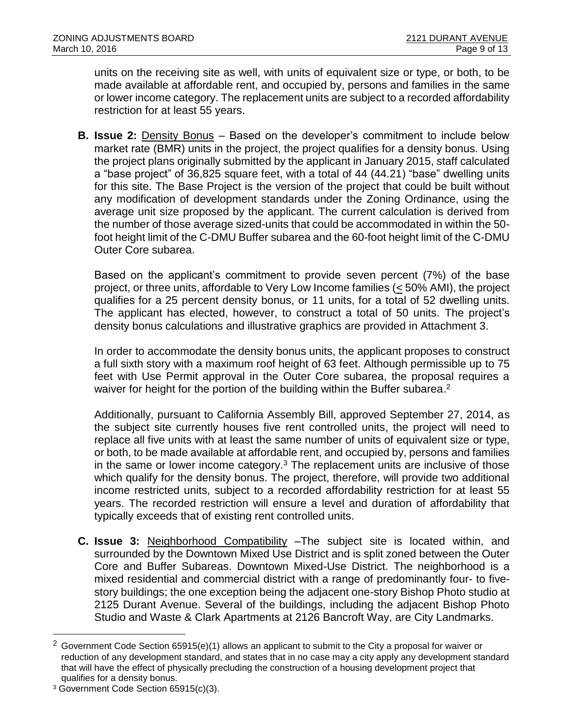units on the receiving site as well, with units of equivalent size or type, or both, to be made available at affordable rent, and occupied by, persons and families in the same or lower income category. The replacement units are subject to a recorded affordability restriction for at least 55 years.

**B. Issue 2:** Density Bonus – Based on the developer's commitment to include below market rate (BMR) units in the project, the project qualifies for a density bonus. Using the project plans originally submitted by the applicant in January 2015, staff calculated a "base project" of 36,825 square feet, with a total of 44 (44.21) "base" dwelling units for this site. The Base Project is the version of the project that could be built without any modification of development standards under the Zoning Ordinance, using the average unit size proposed by the applicant. The current calculation is derived from the number of those average sized-units that could be accommodated in within the 50 foot height limit of the C-DMU Buffer subarea and the 60-foot height limit of the C-DMU Outer Core subarea.

Based on the applicant's commitment to provide seven percent (7%) of the base project, or three units, affordable to Very Low Income families (< 50% AMI), the project qualifies for a 25 percent density bonus, or 11 units, for a total of 52 dwelling units. The applicant has elected, however, to construct a total of 50 units. The project's density bonus calculations and illustrative graphics are provided in Attachment 3.

In order to accommodate the density bonus units, the applicant proposes to construct a full sixth story with a maximum roof height of 63 feet. Although permissible up to 75 feet with Use Permit approval in the Outer Core subarea, the proposal requires a waiver for height for the portion of the building within the Buffer subarea.<sup>2</sup>

Additionally, pursuant to California Assembly Bill, approved September 27, 2014, as the subject site currently houses five rent controlled units, the project will need to replace all five units with at least the same number of units of equivalent size or type, or both, to be made available at affordable rent, and occupied by, persons and families in the same or lower income category. $3$  The replacement units are inclusive of those which qualify for the density bonus. The project, therefore, will provide two additional income restricted units, subject to a recorded affordability restriction for at least 55 years. The recorded restriction will ensure a level and duration of affordability that typically exceeds that of existing rent controlled units.

**C. Issue 3:** Neighborhood Compatibility –The subject site is located within, and surrounded by the Downtown Mixed Use District and is split zoned between the Outer Core and Buffer Subareas. Downtown Mixed-Use District. The neighborhood is a mixed residential and commercial district with a range of predominantly four- to fivestory buildings; the one exception being the adjacent one-story Bishop Photo studio at 2125 Durant Avenue. Several of the buildings, including the adjacent Bishop Photo Studio and Waste & Clark Apartments at 2126 Bancroft Way, are City Landmarks.

l

 $2$  Government Code Section 65915(e)(1) allows an applicant to submit to the City a proposal for waiver or reduction of any development standard, and states that in no case may a city apply any development standard that will have the effect of physically precluding the construction of a housing development project that qualifies for a density bonus.

<sup>3</sup> Government Code Section 65915(c)(3).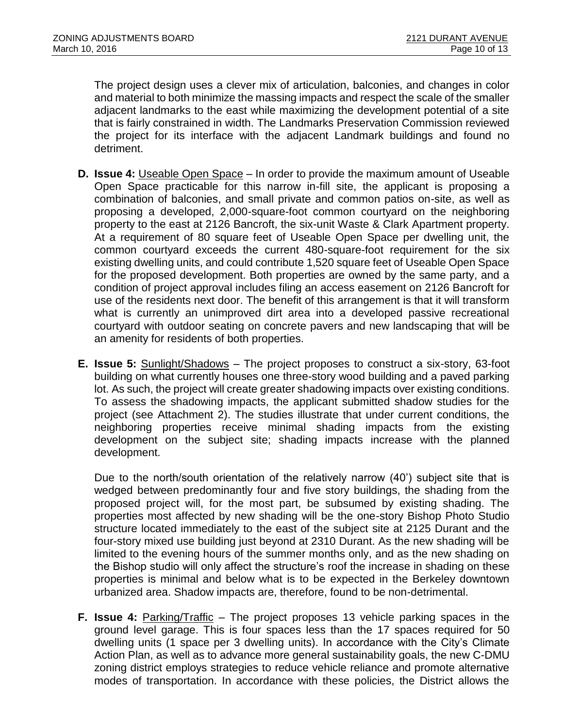The project design uses a clever mix of articulation, balconies, and changes in color and material to both minimize the massing impacts and respect the scale of the smaller adjacent landmarks to the east while maximizing the development potential of a site that is fairly constrained in width. The Landmarks Preservation Commission reviewed the project for its interface with the adjacent Landmark buildings and found no detriment.

- **D. Issue 4:** Useable Open Space In order to provide the maximum amount of Useable Open Space practicable for this narrow in-fill site, the applicant is proposing a combination of balconies, and small private and common patios on-site, as well as proposing a developed, 2,000-square-foot common courtyard on the neighboring property to the east at 2126 Bancroft, the six-unit Waste & Clark Apartment property. At a requirement of 80 square feet of Useable Open Space per dwelling unit, the common courtyard exceeds the current 480-square-foot requirement for the six existing dwelling units, and could contribute 1,520 square feet of Useable Open Space for the proposed development. Both properties are owned by the same party, and a condition of project approval includes filing an access easement on 2126 Bancroft for use of the residents next door. The benefit of this arrangement is that it will transform what is currently an unimproved dirt area into a developed passive recreational courtyard with outdoor seating on concrete pavers and new landscaping that will be an amenity for residents of both properties.
- **E. Issue 5:** Sunlight/Shadows The project proposes to construct a six-story, 63-foot building on what currently houses one three-story wood building and a paved parking lot. As such, the project will create greater shadowing impacts over existing conditions. To assess the shadowing impacts, the applicant submitted shadow studies for the project (see Attachment 2). The studies illustrate that under current conditions, the neighboring properties receive minimal shading impacts from the existing development on the subject site; shading impacts increase with the planned development.

Due to the north/south orientation of the relatively narrow (40') subject site that is wedged between predominantly four and five story buildings, the shading from the proposed project will, for the most part, be subsumed by existing shading. The properties most affected by new shading will be the one-story Bishop Photo Studio structure located immediately to the east of the subject site at 2125 Durant and the four-story mixed use building just beyond at 2310 Durant. As the new shading will be limited to the evening hours of the summer months only, and as the new shading on the Bishop studio will only affect the structure's roof the increase in shading on these properties is minimal and below what is to be expected in the Berkeley downtown urbanized area. Shadow impacts are, therefore, found to be non-detrimental.

**F. Issue 4:** Parking/Traffic – The project proposes 13 vehicle parking spaces in the ground level garage. This is four spaces less than the 17 spaces required for 50 dwelling units (1 space per 3 dwelling units). In accordance with the City's Climate Action Plan, as well as to advance more general sustainability goals, the new C-DMU zoning district employs strategies to reduce vehicle reliance and promote alternative modes of transportation. In accordance with these policies, the District allows the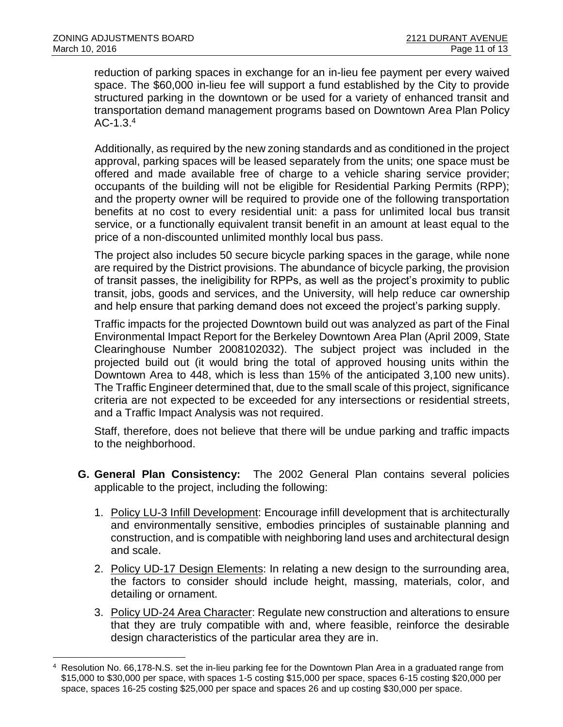l

reduction of parking spaces in exchange for an in-lieu fee payment per every waived space. The \$60,000 in-lieu fee will support a fund established by the City to provide structured parking in the downtown or be used for a variety of enhanced transit and transportation demand management programs based on Downtown Area Plan Policy  $AC-1.3.<sup>4</sup>$ 

Additionally, as required by the new zoning standards and as conditioned in the project approval, parking spaces will be leased separately from the units; one space must be offered and made available free of charge to a vehicle sharing service provider; occupants of the building will not be eligible for Residential Parking Permits (RPP); and the property owner will be required to provide one of the following transportation benefits at no cost to every residential unit: a pass for unlimited local bus transit service, or a functionally equivalent transit benefit in an amount at least equal to the price of a non-discounted unlimited monthly local bus pass.

The project also includes 50 secure bicycle parking spaces in the garage, while none are required by the District provisions. The abundance of bicycle parking, the provision of transit passes, the ineligibility for RPPs, as well as the project's proximity to public transit, jobs, goods and services, and the University, will help reduce car ownership and help ensure that parking demand does not exceed the project's parking supply.

Traffic impacts for the projected Downtown build out was analyzed as part of the Final Environmental Impact Report for the Berkeley Downtown Area Plan (April 2009, State Clearinghouse Number 2008102032). The subject project was included in the projected build out (it would bring the total of approved housing units within the Downtown Area to 448, which is less than 15% of the anticipated 3,100 new units). The Traffic Engineer determined that, due to the small scale of this project, significance criteria are not expected to be exceeded for any intersections or residential streets, and a Traffic Impact Analysis was not required.

Staff, therefore, does not believe that there will be undue parking and traffic impacts to the neighborhood.

- **G. General Plan Consistency:** The 2002 General Plan contains several policies applicable to the project, including the following:
	- 1. Policy LU-3 Infill Development: Encourage infill development that is architecturally and environmentally sensitive, embodies principles of sustainable planning and construction, and is compatible with neighboring land uses and architectural design and scale.
	- 2. Policy UD-17 Design Elements: In relating a new design to the surrounding area, the factors to consider should include height, massing, materials, color, and detailing or ornament.
	- 3. Policy UD-24 Area Character: Regulate new construction and alterations to ensure that they are truly compatible with and, where feasible, reinforce the desirable design characteristics of the particular area they are in.

Resolution No. 66,178-N.S. set the in-lieu parking fee for the Downtown Plan Area in a graduated range from \$15,000 to \$30,000 per space, with spaces 1-5 costing \$15,000 per space, spaces 6-15 costing \$20,000 per space, spaces 16-25 costing \$25,000 per space and spaces 26 and up costing \$30,000 per space.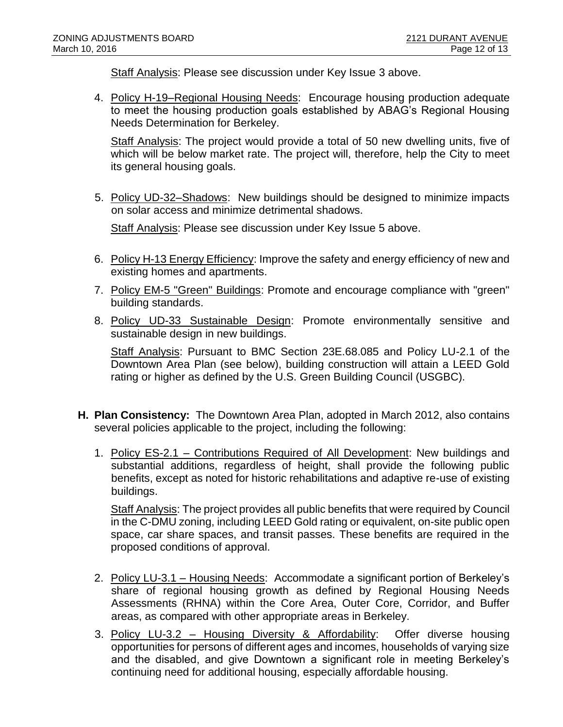Staff Analysis: Please see discussion under Key Issue 3 above.

4. Policy H-19–Regional Housing Needs: Encourage housing production adequate to meet the housing production goals established by ABAG's Regional Housing Needs Determination for Berkeley.

Staff Analysis: The project would provide a total of 50 new dwelling units, five of which will be below market rate. The project will, therefore, help the City to meet its general housing goals.

5. Policy UD-32–Shadows: New buildings should be designed to minimize impacts on solar access and minimize detrimental shadows.

Staff Analysis: Please see discussion under Key Issue 5 above.

- 6. Policy H-13 Energy Efficiency: Improve the safety and energy efficiency of new and existing homes and apartments.
- 7. Policy EM-5 "Green" Buildings: Promote and encourage compliance with "green" building standards.
- 8. Policy UD-33 Sustainable Design: Promote environmentally sensitive and sustainable design in new buildings.

Staff Analysis: Pursuant to BMC Section 23E.68.085 and Policy LU-2.1 of the Downtown Area Plan (see below), building construction will attain a LEED Gold rating or higher as defined by the U.S. Green Building Council (USGBC).

- **H. Plan Consistency:** The Downtown Area Plan, adopted in March 2012, also contains several policies applicable to the project, including the following:
	- 1. Policy ES-2.1 Contributions Required of All Development: New buildings and substantial additions, regardless of height, shall provide the following public benefits, except as noted for historic rehabilitations and adaptive re-use of existing buildings.

Staff Analysis: The project provides all public benefits that were required by Council in the C-DMU zoning, including LEED Gold rating or equivalent, on-site public open space, car share spaces, and transit passes. These benefits are required in the proposed conditions of approval.

- 2. Policy LU-3.1 Housing Needs: Accommodate a significant portion of Berkeley's share of regional housing growth as defined by Regional Housing Needs Assessments (RHNA) within the Core Area, Outer Core, Corridor, and Buffer areas, as compared with other appropriate areas in Berkeley.
- 3. Policy LU-3.2 Housing Diversity & Affordability: Offer diverse housing opportunities for persons of different ages and incomes, households of varying size and the disabled, and give Downtown a significant role in meeting Berkeley's continuing need for additional housing, especially affordable housing.